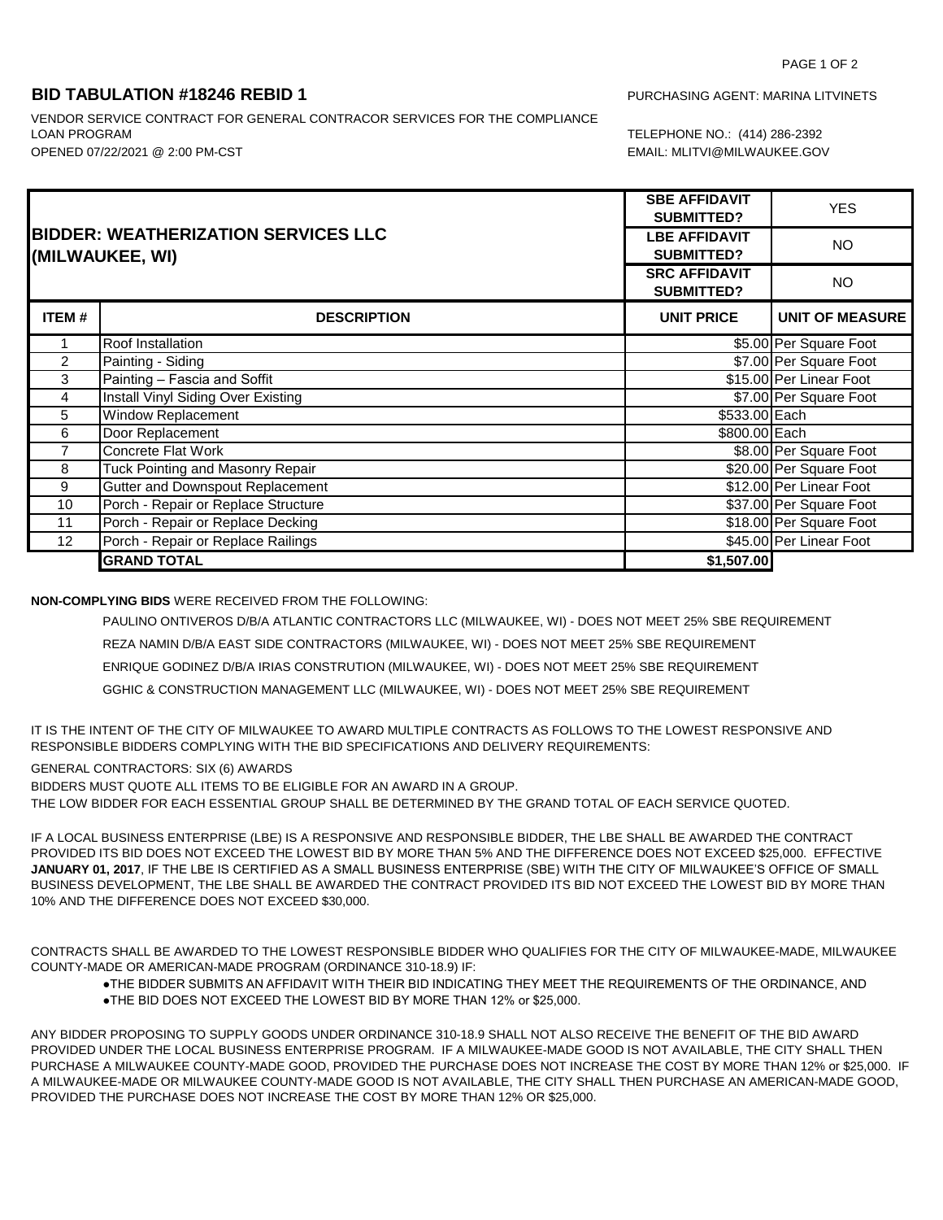## **BID TABULATION #18246 REBID 1** PURCHASING AGENT: MARINA LITVINETS

OPENED 07/22/2021 @ 2:00 PM-CST EMAIL: MLITVI@MILWAUKEE.GOV VENDOR SERVICE CONTRACT FOR GENERAL CONTRACOR SERVICES FOR THE COMPLIANCE LOAN PROGRAM

TELEPHONE NO.: (414) 286-2392

| <b>BIDDER: WEATHERIZATION SERVICES LLC</b><br>(MILWAUKEE, WI) |                                         | <b>SBE AFFIDAVIT</b><br><b>SUBMITTED?</b> | <b>YES</b>              |
|---------------------------------------------------------------|-----------------------------------------|-------------------------------------------|-------------------------|
|                                                               |                                         | <b>LBE AFFIDAVIT</b><br><b>SUBMITTED?</b> | <b>NO</b>               |
|                                                               |                                         | <b>SRC AFFIDAVIT</b><br><b>SUBMITTED?</b> | <b>NO</b>               |
| <b>ITEM#</b>                                                  | <b>DESCRIPTION</b>                      | <b>UNIT PRICE</b>                         | <b>UNIT OF MEASURE</b>  |
|                                                               | Roof Installation                       |                                           | \$5.00 Per Square Foot  |
| 2                                                             | Painting - Siding                       |                                           | \$7.00 Per Square Foot  |
| 3                                                             | Painting - Fascia and Soffit            |                                           | \$15.00 Per Linear Foot |
| 4                                                             | Install Vinyl Siding Over Existing      |                                           | \$7.00 Per Square Foot  |
| 5                                                             | <b>Window Replacement</b>               | \$533.00 Each                             |                         |
| 6                                                             | Door Replacement                        | \$800.00 Each                             |                         |
| 7                                                             | <b>Concrete Flat Work</b>               |                                           | \$8.00 Per Square Foot  |
| 8                                                             | Tuck Pointing and Masonry Repair        |                                           | \$20.00 Per Square Foot |
| 9                                                             | <b>Gutter and Downspout Replacement</b> |                                           | \$12.00 Per Linear Foot |
| 10                                                            | Porch - Repair or Replace Structure     |                                           | \$37.00 Per Square Foot |
| 11                                                            | Porch - Repair or Replace Decking       |                                           | \$18.00 Per Square Foot |
| 12                                                            | Porch - Repair or Replace Railings      |                                           | \$45.00 Per Linear Foot |
|                                                               | <b>GRAND TOTAL</b>                      | \$1,507.00                                |                         |

**NON-COMPLYING BIDS** WERE RECEIVED FROM THE FOLLOWING:

PAULINO ONTIVEROS D/B/A ATLANTIC CONTRACTORS LLC (MILWAUKEE, WI) - DOES NOT MEET 25% SBE REQUIREMENT REZA NAMIN D/B/A EAST SIDE CONTRACTORS (MILWAUKEE, WI) - DOES NOT MEET 25% SBE REQUIREMENT ENRIQUE GODINEZ D/B/A IRIAS CONSTRUTION (MILWAUKEE, WI) - DOES NOT MEET 25% SBE REQUIREMENT GGHIC & CONSTRUCTION MANAGEMENT LLC (MILWAUKEE, WI) - DOES NOT MEET 25% SBE REQUIREMENT

IT IS THE INTENT OF THE CITY OF MILWAUKEE TO AWARD MULTIPLE CONTRACTS AS FOLLOWS TO THE LOWEST RESPONSIVE AND RESPONSIBLE BIDDERS COMPLYING WITH THE BID SPECIFICATIONS AND DELIVERY REQUIREMENTS:

GENERAL CONTRACTORS: SIX (6) AWARDS

BIDDERS MUST QUOTE ALL ITEMS TO BE ELIGIBLE FOR AN AWARD IN A GROUP.

THE LOW BIDDER FOR EACH ESSENTIAL GROUP SHALL BE DETERMINED BY THE GRAND TOTAL OF EACH SERVICE QUOTED.

IF A LOCAL BUSINESS ENTERPRISE (LBE) IS A RESPONSIVE AND RESPONSIBLE BIDDER, THE LBE SHALL BE AWARDED THE CONTRACT PROVIDED ITS BID DOES NOT EXCEED THE LOWEST BID BY MORE THAN 5% AND THE DIFFERENCE DOES NOT EXCEED \$25,000. EFFECTIVE **JANUARY 01, 2017**, IF THE LBE IS CERTIFIED AS A SMALL BUSINESS ENTERPRISE (SBE) WITH THE CITY OF MILWAUKEE'S OFFICE OF SMALL BUSINESS DEVELOPMENT, THE LBE SHALL BE AWARDED THE CONTRACT PROVIDED ITS BID NOT EXCEED THE LOWEST BID BY MORE THAN 10% AND THE DIFFERENCE DOES NOT EXCEED \$30,000.

CONTRACTS SHALL BE AWARDED TO THE LOWEST RESPONSIBLE BIDDER WHO QUALIFIES FOR THE CITY OF MILWAUKEE-MADE, MILWAUKEE COUNTY-MADE OR AMERICAN-MADE PROGRAM (ORDINANCE 310-18.9) IF:

- ●THE BIDDER SUBMITS AN AFFIDAVIT WITH THEIR BID INDICATING THEY MEET THE REQUIREMENTS OF THE ORDINANCE, AND
- ●THE BID DOES NOT EXCEED THE LOWEST BID BY MORE THAN 12% or \$25,000.

ANY BIDDER PROPOSING TO SUPPLY GOODS UNDER ORDINANCE 310-18.9 SHALL NOT ALSO RECEIVE THE BENEFIT OF THE BID AWARD PROVIDED UNDER THE LOCAL BUSINESS ENTERPRISE PROGRAM. IF A MILWAUKEE-MADE GOOD IS NOT AVAILABLE, THE CITY SHALL THEN PURCHASE A MILWAUKEE COUNTY-MADE GOOD, PROVIDED THE PURCHASE DOES NOT INCREASE THE COST BY MORE THAN 12% or \$25,000. IF A MILWAUKEE-MADE OR MILWAUKEE COUNTY-MADE GOOD IS NOT AVAILABLE, THE CITY SHALL THEN PURCHASE AN AMERICAN-MADE GOOD, PROVIDED THE PURCHASE DOES NOT INCREASE THE COST BY MORE THAN 12% OR \$25,000.